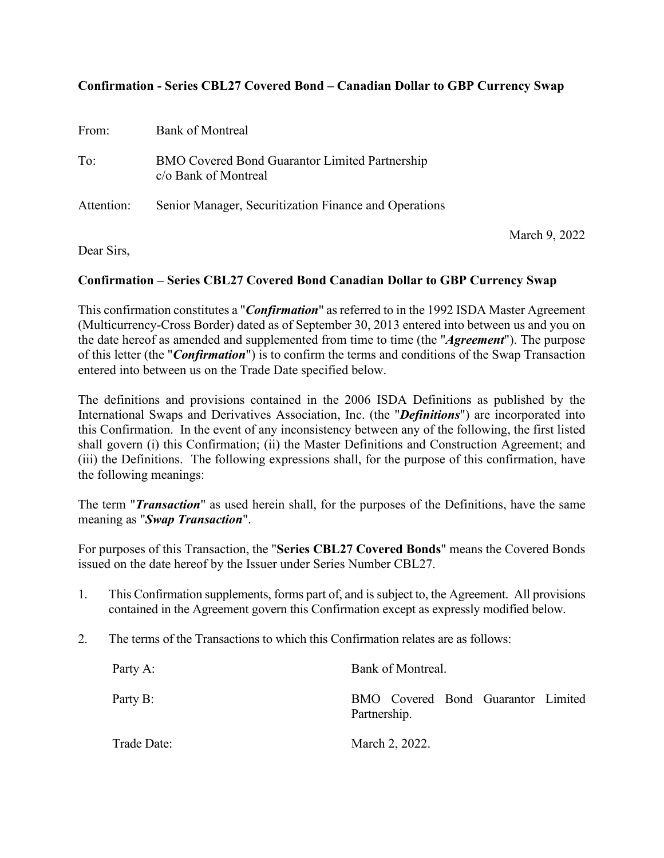# **Confirmation - Series CBL27 Covered Bond – Canadian Dollar to GBP Currency Swap**

| From:      | Bank of Montreal                                                              |  |
|------------|-------------------------------------------------------------------------------|--|
| To:        | <b>BMO Covered Bond Guarantor Limited Partnership</b><br>c/o Bank of Montreal |  |
| Attention: | Senior Manager, Securitization Finance and Operations                         |  |
|            |                                                                               |  |

Dear Sirs,

### March 9, 2022

## **Confirmation – Series CBL27 Covered Bond Canadian Dollar to GBP Currency Swap**

This confirmation constitutes a "*Confirmation*" as referred to in the 1992 ISDA Master Agreement (Multicurrency-Cross Border) dated as of September 30, 2013 entered into between us and you on the date hereof as amended and supplemented from time to time (the "*Agreement*"). The purpose of this letter (the "*Confirmation*") is to confirm the terms and conditions of the Swap Transaction entered into between us on the Trade Date specified below.

The definitions and provisions contained in the 2006 ISDA Definitions as published by the International Swaps and Derivatives Association, Inc. (the "*Definitions*") are incorporated into this Confirmation. In the event of any inconsistency between any of the following, the first listed shall govern (i) this Confirmation; (ii) the Master Definitions and Construction Agreement; and (iii) the Definitions. The following expressions shall, for the purpose of this confirmation, have the following meanings:

The term "*Transaction*" as used herein shall, for the purposes of the Definitions, have the same meaning as "*Swap Transaction*".

For purposes of this Transaction, the "**Series CBL27 Covered Bonds**" means the Covered Bonds issued on the date hereof by the Issuer under Series Number CBL27.

- 1. This Confirmation supplements, forms part of, and is subject to, the Agreement. All provisions contained in the Agreement govern this Confirmation except as expressly modified below.
- 2. The terms of the Transactions to which this Confirmation relates are as follows:

| Party A:    | Bank of Montreal.                                  |
|-------------|----------------------------------------------------|
| Party B:    | BMO Covered Bond Guarantor Limited<br>Partnership. |
| Trade Date: | March 2, 2022.                                     |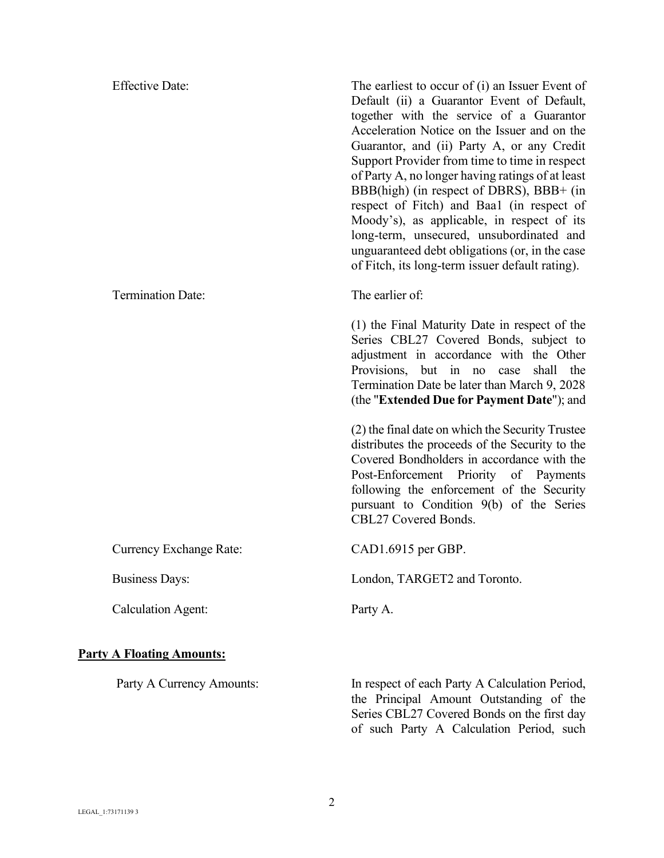| <b>Effective Date:</b>           | The earliest to occur of (i) an Issuer Event of<br>Default (ii) a Guarantor Event of Default,<br>together with the service of a Guarantor<br>Acceleration Notice on the Issuer and on the<br>Guarantor, and (ii) Party A, or any Credit<br>Support Provider from time to time in respect<br>of Party A, no longer having ratings of at least<br>BBB(high) (in respect of DBRS), BBB+ (in<br>respect of Fitch) and Baal (in respect of<br>Moody's), as applicable, in respect of its<br>long-term, unsecured, unsubordinated and<br>unguaranteed debt obligations (or, in the case<br>of Fitch, its long-term issuer default rating). |
|----------------------------------|--------------------------------------------------------------------------------------------------------------------------------------------------------------------------------------------------------------------------------------------------------------------------------------------------------------------------------------------------------------------------------------------------------------------------------------------------------------------------------------------------------------------------------------------------------------------------------------------------------------------------------------|
| <b>Termination Date:</b>         | The earlier of:                                                                                                                                                                                                                                                                                                                                                                                                                                                                                                                                                                                                                      |
|                                  | (1) the Final Maturity Date in respect of the<br>Series CBL27 Covered Bonds, subject to<br>adjustment in accordance with the Other<br>Provisions, but in no<br>shall<br>case<br>the<br>Termination Date be later than March 9, 2028<br>(the "Extended Due for Payment Date"); and                                                                                                                                                                                                                                                                                                                                                    |
|                                  | (2) the final date on which the Security Trustee<br>distributes the proceeds of the Security to the<br>Covered Bondholders in accordance with the<br>Post-Enforcement Priority of Payments<br>following the enforcement of the Security<br>pursuant to Condition 9(b) of the Series<br>CBL27 Covered Bonds.                                                                                                                                                                                                                                                                                                                          |
| <b>Currency Exchange Rate:</b>   | CAD1.6915 per GBP.                                                                                                                                                                                                                                                                                                                                                                                                                                                                                                                                                                                                                   |
| <b>Business Days:</b>            | London, TARGET2 and Toronto.                                                                                                                                                                                                                                                                                                                                                                                                                                                                                                                                                                                                         |
| <b>Calculation Agent:</b>        | Party A.                                                                                                                                                                                                                                                                                                                                                                                                                                                                                                                                                                                                                             |
| <b>Party A Floating Amounts:</b> |                                                                                                                                                                                                                                                                                                                                                                                                                                                                                                                                                                                                                                      |
| Party A Currency Amounts:        | In respect of each Party A Calculation Period,<br>the Principal Amount Outstanding of the<br>Series CBL27 Covered Bonds on the first day<br>of such Party A Calculation Period, such                                                                                                                                                                                                                                                                                                                                                                                                                                                 |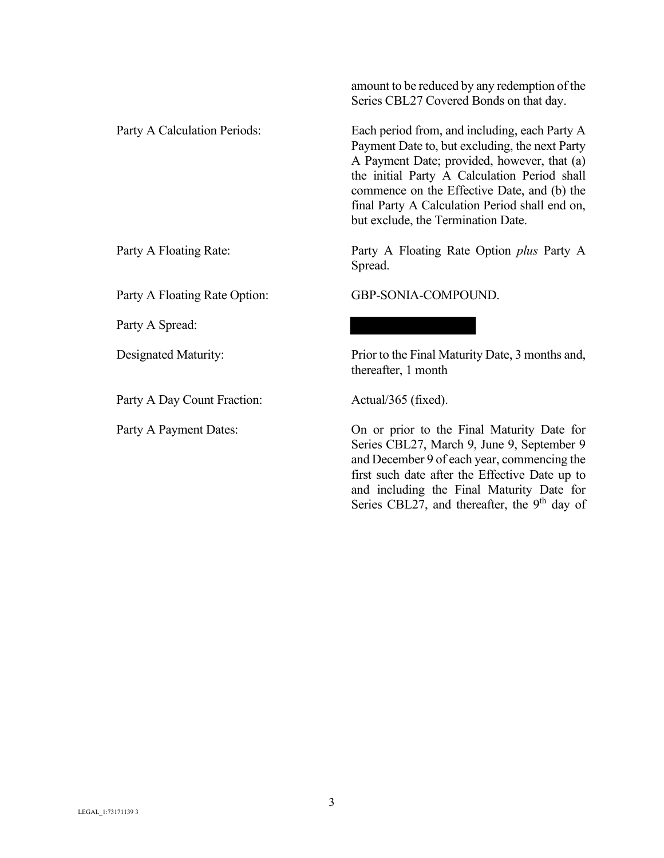Party A Floating Rate Option: GBP-SONIA-COMPOUND.

Party A Spread:

Party A Day Count Fraction: Actual/365 (fixed).

amount to be reduced by any redemption of the Series CBL27 Covered Bonds on that day.

Party A Calculation Periods: Each period from, and including, each Party A Payment Date to, but excluding, the next Party A Payment Date; provided, however, that (a) the initial Party A Calculation Period shall commence on the Effective Date, and (b) the final Party A Calculation Period shall end on, but exclude, the Termination Date.

Party A Floating Rate: Party A Floating Rate Option *plus* Party A Spread.

Designated Maturity: Prior to the Final Maturity Date, 3 months and, thereafter, 1 month

Party A Payment Dates: 0n or prior to the Final Maturity Date for Series CBL27, March 9, June 9, September 9 and December 9 of each year, commencing the first such date after the Effective Date up to and including the Final Maturity Date for Series CBL27, and thereafter, the 9<sup>th</sup> day of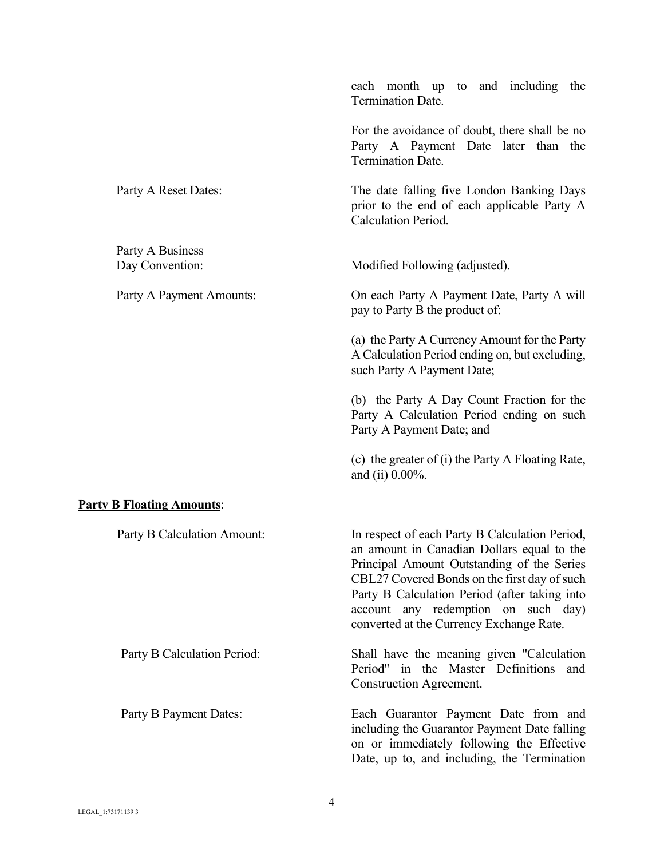|                                     | each month up to and including the<br><b>Termination Date.</b>                                                                                                                                                                                                                                                                 |
|-------------------------------------|--------------------------------------------------------------------------------------------------------------------------------------------------------------------------------------------------------------------------------------------------------------------------------------------------------------------------------|
|                                     | For the avoidance of doubt, there shall be no<br>Party A Payment Date later than the<br><b>Termination Date.</b>                                                                                                                                                                                                               |
| Party A Reset Dates:                | The date falling five London Banking Days<br>prior to the end of each applicable Party A<br>Calculation Period.                                                                                                                                                                                                                |
| Party A Business<br>Day Convention: | Modified Following (adjusted).                                                                                                                                                                                                                                                                                                 |
| Party A Payment Amounts:            | On each Party A Payment Date, Party A will<br>pay to Party B the product of:                                                                                                                                                                                                                                                   |
|                                     | (a) the Party A Currency Amount for the Party<br>A Calculation Period ending on, but excluding,<br>such Party A Payment Date;                                                                                                                                                                                                  |
|                                     | (b) the Party A Day Count Fraction for the<br>Party A Calculation Period ending on such<br>Party A Payment Date; and                                                                                                                                                                                                           |
|                                     | (c) the greater of (i) the Party A Floating Rate,<br>and (ii) $0.00\%$ .                                                                                                                                                                                                                                                       |
| <b>Party B Floating Amounts:</b>    |                                                                                                                                                                                                                                                                                                                                |
| Party B Calculation Amount:         | In respect of each Party B Calculation Period,<br>an amount in Canadian Dollars equal to the<br>Principal Amount Outstanding of the Series<br>CBL27 Covered Bonds on the first day of such<br>Party B Calculation Period (after taking into<br>account any redemption on such day)<br>converted at the Currency Exchange Rate. |
| Party B Calculation Period:         | Shall have the meaning given "Calculation"<br>Period"<br>in the Master Definitions<br>and<br>Construction Agreement.                                                                                                                                                                                                           |
| Party B Payment Dates:              | Each Guarantor Payment Date from and<br>including the Guarantor Payment Date falling<br>on or immediately following the Effective<br>Date, up to, and including, the Termination                                                                                                                                               |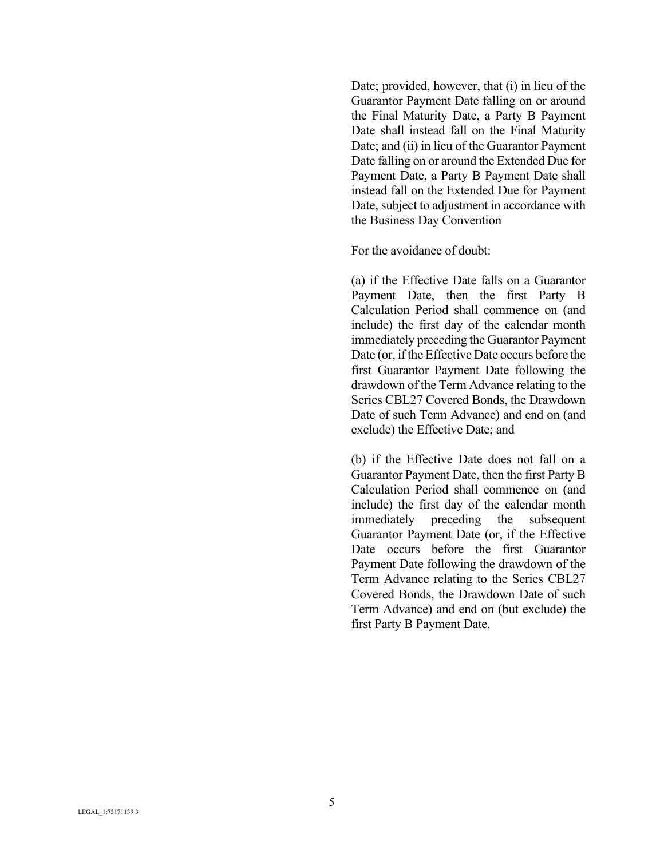Date; provided, however, that (i) in lieu of the Guarantor Payment Date falling on or around the Final Maturity Date, a Party B Payment Date shall instead fall on the Final Maturity Date; and (ii) in lieu of the Guarantor Payment Date falling on or around the Extended Due for Payment Date, a Party B Payment Date shall instead fall on the Extended Due for Payment Date, subject to adjustment in accordance with the Business Day Convention

For the avoidance of doubt:

(a) if the Effective Date falls on a Guarantor Payment Date, then the first Party B Calculation Period shall commence on (and include) the first day of the calendar month immediately preceding the Guarantor Payment Date (or, if the Effective Date occurs before the first Guarantor Payment Date following the drawdown of the Term Advance relating to the Series CBL27 Covered Bonds, the Drawdown Date of such Term Advance) and end on (and exclude) the Effective Date; and

(b) if the Effective Date does not fall on a Guarantor Payment Date, then the first Party B Calculation Period shall commence on (and include) the first day of the calendar month immediately preceding the subsequent Guarantor Payment Date (or, if the Effective Date occurs before the first Guarantor Payment Date following the drawdown of the Term Advance relating to the Series CBL27 Covered Bonds, the Drawdown Date of such Term Advance) and end on (but exclude) the first Party B Payment Date.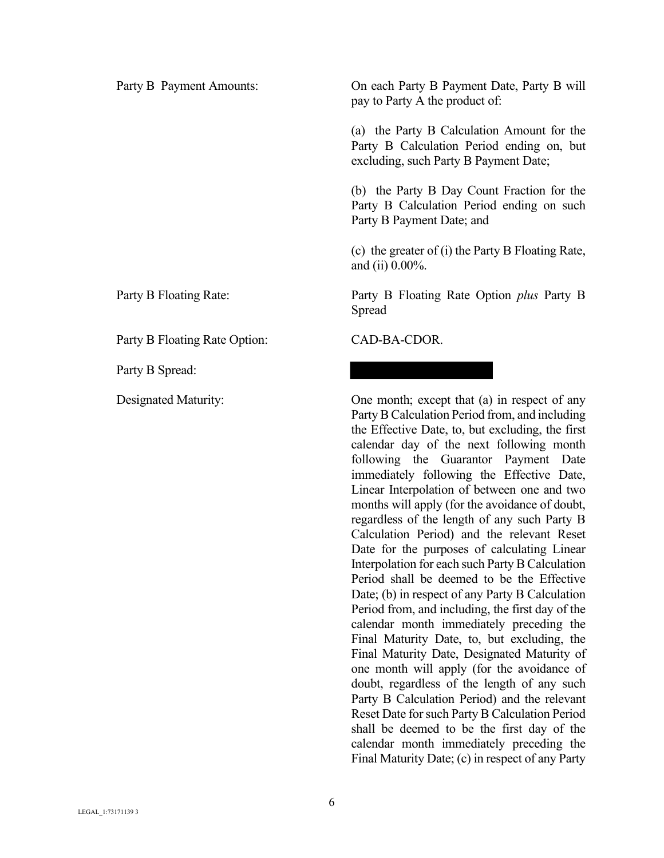Party B Floating Rate Option: CAD-BA-CDOR.

Party B Spread:

Party B Payment Amounts: On each Party B Payment Date, Party B will pay to Party A the product of:

> (a) the Party B Calculation Amount for the Party B Calculation Period ending on, but excluding, such Party B Payment Date;

> (b) the Party B Day Count Fraction for the Party B Calculation Period ending on such Party B Payment Date; and

> (c) the greater of (i) the Party B Floating Rate, and (ii) 0.00%.

Party B Floating Rate: Party B Floating Rate Option *plus* Party B Spread

Designated Maturity: One month; except that (a) in respect of any Party B Calculation Period from, and including the Effective Date, to, but excluding, the first calendar day of the next following month following the Guarantor Payment Date immediately following the Effective Date, Linear Interpolation of between one and two months will apply (for the avoidance of doubt, regardless of the length of any such Party B Calculation Period) and the relevant Reset Date for the purposes of calculating Linear Interpolation for each such Party B Calculation Period shall be deemed to be the Effective Date; (b) in respect of any Party B Calculation Period from, and including, the first day of the calendar month immediately preceding the Final Maturity Date, to, but excluding, the Final Maturity Date, Designated Maturity of one month will apply (for the avoidance of doubt, regardless of the length of any such Party B Calculation Period) and the relevant Reset Date for such Party B Calculation Period shall be deemed to be the first day of the calendar month immediately preceding the Final Maturity Date; (c) in respect of any Party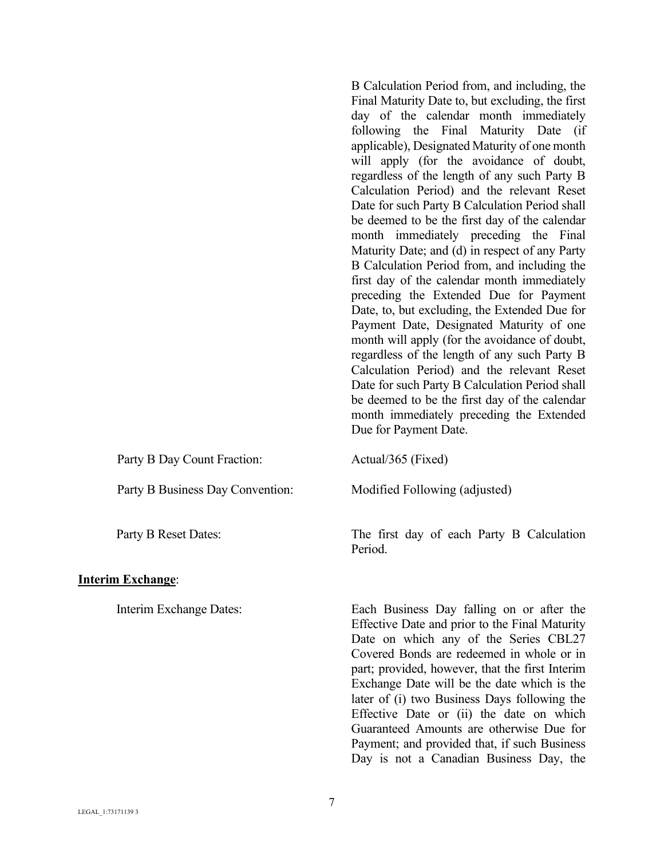|                                  | B Calculation Period from, and including, the<br>Final Maturity Date to, but excluding, the first<br>day of the calendar month immediately<br>following the Final Maturity Date (if<br>applicable), Designated Maturity of one month<br>will apply (for the avoidance of doubt,<br>regardless of the length of any such Party B<br>Calculation Period) and the relevant Reset<br>Date for such Party B Calculation Period shall<br>be deemed to be the first day of the calendar<br>month immediately preceding the Final<br>Maturity Date; and (d) in respect of any Party<br>B Calculation Period from, and including the<br>first day of the calendar month immediately<br>preceding the Extended Due for Payment<br>Date, to, but excluding, the Extended Due for<br>Payment Date, Designated Maturity of one<br>month will apply (for the avoidance of doubt,<br>regardless of the length of any such Party B<br>Calculation Period) and the relevant Reset<br>Date for such Party B Calculation Period shall<br>be deemed to be the first day of the calendar<br>month immediately preceding the Extended<br>Due for Payment Date. |
|----------------------------------|------------------------------------------------------------------------------------------------------------------------------------------------------------------------------------------------------------------------------------------------------------------------------------------------------------------------------------------------------------------------------------------------------------------------------------------------------------------------------------------------------------------------------------------------------------------------------------------------------------------------------------------------------------------------------------------------------------------------------------------------------------------------------------------------------------------------------------------------------------------------------------------------------------------------------------------------------------------------------------------------------------------------------------------------------------------------------------------------------------------------------------------|
| Party B Day Count Fraction:      | Actual/365 (Fixed)                                                                                                                                                                                                                                                                                                                                                                                                                                                                                                                                                                                                                                                                                                                                                                                                                                                                                                                                                                                                                                                                                                                       |
| Party B Business Day Convention: | Modified Following (adjusted)                                                                                                                                                                                                                                                                                                                                                                                                                                                                                                                                                                                                                                                                                                                                                                                                                                                                                                                                                                                                                                                                                                            |
| Party B Reset Dates:             | The first day of each Party B Calculation<br>Period.                                                                                                                                                                                                                                                                                                                                                                                                                                                                                                                                                                                                                                                                                                                                                                                                                                                                                                                                                                                                                                                                                     |
| <b>Interim Exchange:</b>         |                                                                                                                                                                                                                                                                                                                                                                                                                                                                                                                                                                                                                                                                                                                                                                                                                                                                                                                                                                                                                                                                                                                                          |
| Interim Exchange Dates:          | Each Business Day falling on or after the<br>Effective Date and prior to the Final Maturity                                                                                                                                                                                                                                                                                                                                                                                                                                                                                                                                                                                                                                                                                                                                                                                                                                                                                                                                                                                                                                              |

Effective Date and prior to the Final Maturity Date on which any of the Series CBL27 Covered Bonds are redeemed in whole or in part; provided, however, that the first Interim Exchange Date will be the date which is the later of (i) two Business Days following the Effective Date or (ii) the date on which Guaranteed Amounts are otherwise Due for Payment; and provided that, if such Business Day is not a Canadian Business Day, the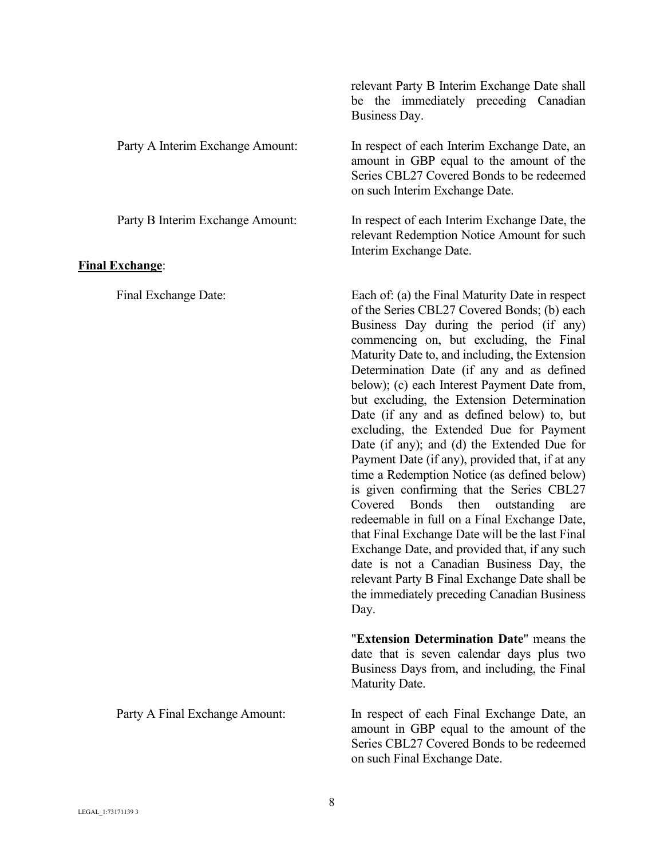|                                  | relevant Party B Interim Exchange Date shall<br>be the immediately preceding Canadian<br>Business Day.                                                                                                                                                                                                                                                                                                                                                                                                                                                                                                                                                                                                                                                                                                                                                                                                                                                                                                                             |
|----------------------------------|------------------------------------------------------------------------------------------------------------------------------------------------------------------------------------------------------------------------------------------------------------------------------------------------------------------------------------------------------------------------------------------------------------------------------------------------------------------------------------------------------------------------------------------------------------------------------------------------------------------------------------------------------------------------------------------------------------------------------------------------------------------------------------------------------------------------------------------------------------------------------------------------------------------------------------------------------------------------------------------------------------------------------------|
| Party A Interim Exchange Amount: | In respect of each Interim Exchange Date, an<br>amount in GBP equal to the amount of the<br>Series CBL27 Covered Bonds to be redeemed<br>on such Interim Exchange Date.                                                                                                                                                                                                                                                                                                                                                                                                                                                                                                                                                                                                                                                                                                                                                                                                                                                            |
| Party B Interim Exchange Amount: | In respect of each Interim Exchange Date, the<br>relevant Redemption Notice Amount for such<br>Interim Exchange Date.                                                                                                                                                                                                                                                                                                                                                                                                                                                                                                                                                                                                                                                                                                                                                                                                                                                                                                              |
| <u>Final Exchange:</u>           |                                                                                                                                                                                                                                                                                                                                                                                                                                                                                                                                                                                                                                                                                                                                                                                                                                                                                                                                                                                                                                    |
| Final Exchange Date:             | Each of: (a) the Final Maturity Date in respect<br>of the Series CBL27 Covered Bonds; (b) each<br>Business Day during the period (if any)<br>commencing on, but excluding, the Final<br>Maturity Date to, and including, the Extension<br>Determination Date (if any and as defined<br>below); (c) each Interest Payment Date from,<br>but excluding, the Extension Determination<br>Date (if any and as defined below) to, but<br>excluding, the Extended Due for Payment<br>Date (if any); and (d) the Extended Due for<br>Payment Date (if any), provided that, if at any<br>time a Redemption Notice (as defined below)<br>is given confirming that the Series CBL27<br>Bonds<br>then<br>Covered<br>outstanding<br>are<br>redeemable in full on a Final Exchange Date,<br>that Final Exchange Date will be the last Final<br>Exchange Date, and provided that, if any such<br>date is not a Canadian Business Day, the<br>relevant Party B Final Exchange Date shall be<br>the immediately preceding Canadian Business<br>Day. |
|                                  | "Extension Determination Date" means the<br>date that is seven calendar days plus two<br>Business Days from, and including, the Final<br>Maturity Date.                                                                                                                                                                                                                                                                                                                                                                                                                                                                                                                                                                                                                                                                                                                                                                                                                                                                            |
| Party A Final Exchange Amount:   | In respect of each Final Exchange Date, an<br>amount in GBP equal to the amount of the<br>Series CBL27 Covered Bonds to be redeemed<br>on such Final Exchange Date.                                                                                                                                                                                                                                                                                                                                                                                                                                                                                                                                                                                                                                                                                                                                                                                                                                                                |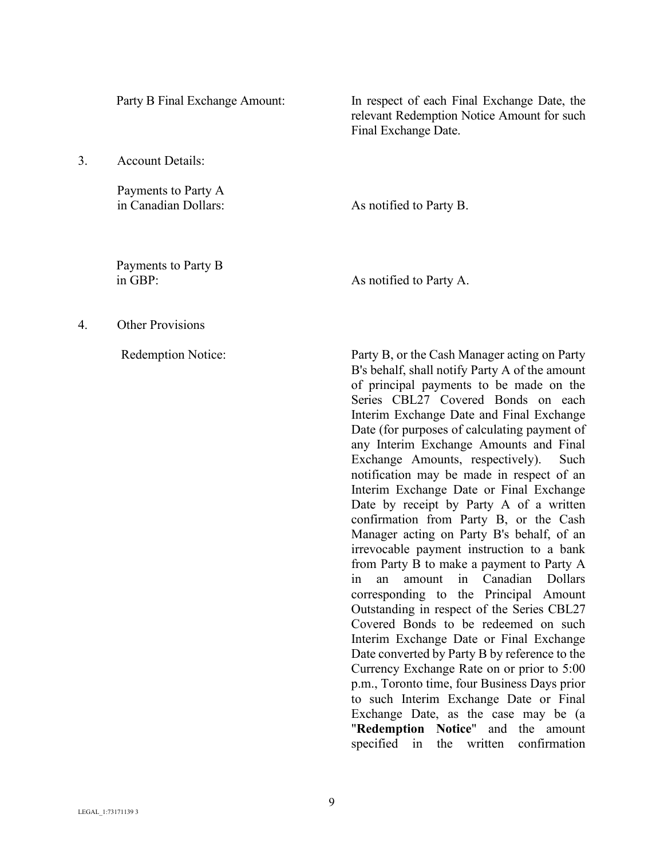3. Account Details:

Payments to Party A

Party B Final Exchange Amount: In respect of each Final Exchange Date, the relevant Redemption Notice Amount for such Final Exchange Date.

in Canadian Dollars: As notified to Party B.

Payments to Party B in GBP: As notified to Party A.

4. Other Provisions

Redemption Notice: Party B, or the Cash Manager acting on Party B's behalf, shall notify Party A of the amount of principal payments to be made on the Series CBL27 Covered Bonds on each Interim Exchange Date and Final Exchange Date (for purposes of calculating payment of any Interim Exchange Amounts and Final Exchange Amounts, respectively). Such notification may be made in respect of an Interim Exchange Date or Final Exchange Date by receipt by Party A of a written confirmation from Party B, or the Cash Manager acting on Party B's behalf, of an irrevocable payment instruction to a bank from Party B to make a payment to Party A in an amount in Canadian Dollars corresponding to the Principal Amount Outstanding in respect of the Series CBL27 Covered Bonds to be redeemed on such Interim Exchange Date or Final Exchange Date converted by Party B by reference to the Currency Exchange Rate on or prior to 5:00 p.m., Toronto time, four Business Days prior to such Interim Exchange Date or Final Exchange Date, as the case may be (a "**Redemption Notice**" and the amount specified in the written confirmation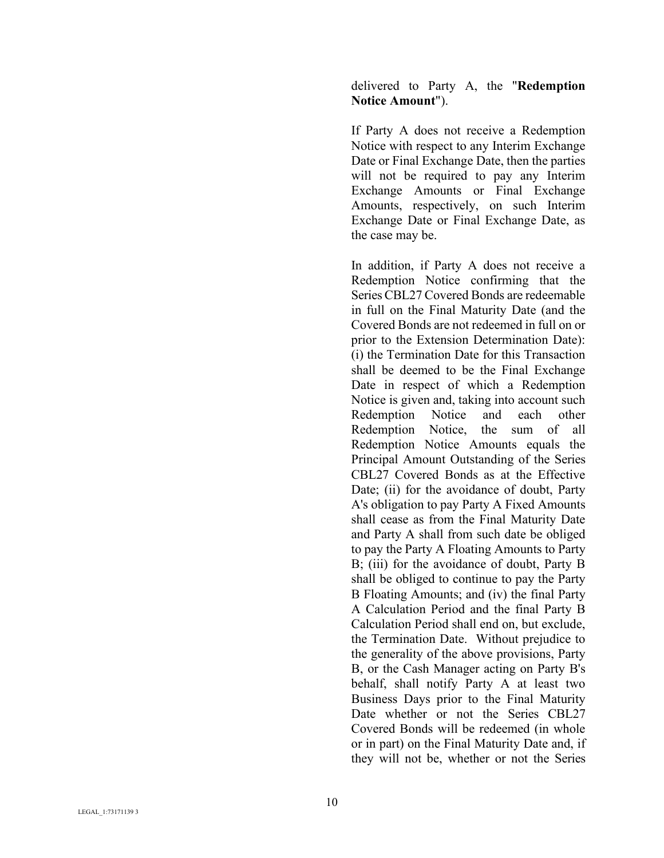### delivered to Party A, the "**Redemption Notice Amount**").

If Party A does not receive a Redemption Notice with respect to any Interim Exchange Date or Final Exchange Date, then the parties will not be required to pay any Interim Exchange Amounts or Final Exchange Amounts, respectively, on such Interim Exchange Date or Final Exchange Date, as the case may be.

In addition, if Party A does not receive a Redemption Notice confirming that the Series CBL27 Covered Bonds are redeemable in full on the Final Maturity Date (and the Covered Bonds are not redeemed in full on or prior to the Extension Determination Date): (i) the Termination Date for this Transaction shall be deemed to be the Final Exchange Date in respect of which a Redemption Notice is given and, taking into account such Redemption Notice and each other Redemption Notice, the sum of all Redemption Notice Amounts equals the Principal Amount Outstanding of the Series CBL27 Covered Bonds as at the Effective Date; (ii) for the avoidance of doubt, Party A's obligation to pay Party A Fixed Amounts shall cease as from the Final Maturity Date and Party A shall from such date be obliged to pay the Party A Floating Amounts to Party B; (iii) for the avoidance of doubt, Party B shall be obliged to continue to pay the Party B Floating Amounts; and (iv) the final Party A Calculation Period and the final Party B Calculation Period shall end on, but exclude, the Termination Date. Without prejudice to the generality of the above provisions, Party B, or the Cash Manager acting on Party B's behalf, shall notify Party A at least two Business Days prior to the Final Maturity Date whether or not the Series CBL27 Covered Bonds will be redeemed (in whole or in part) on the Final Maturity Date and, if they will not be, whether or not the Series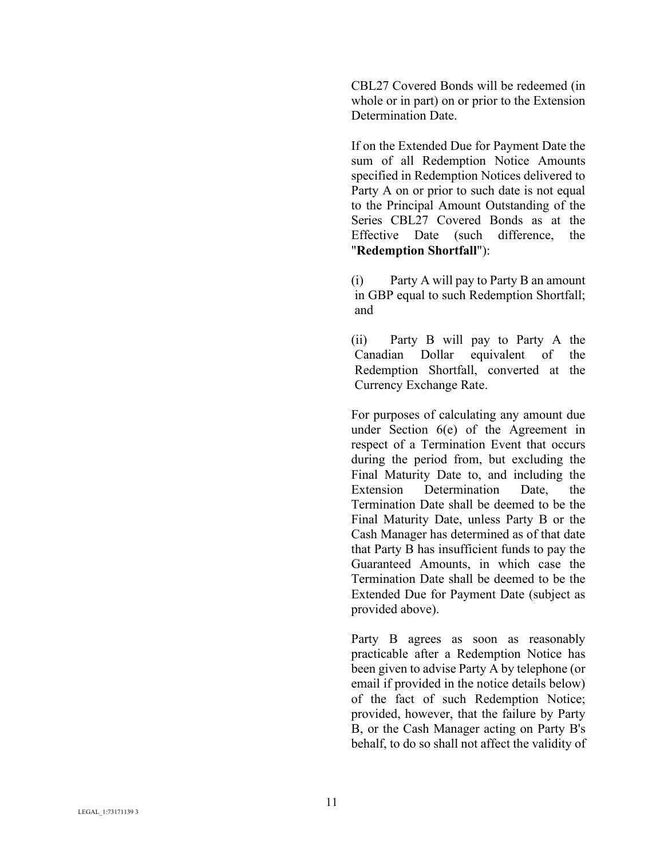CBL27 Covered Bonds will be redeemed (in whole or in part) on or prior to the Extension Determination Date.

If on the Extended Due for Payment Date the sum of all Redemption Notice Amounts specified in Redemption Notices delivered to Party A on or prior to such date is not equal to the Principal Amount Outstanding of the Series CBL27 Covered Bonds as at the Effective Date (such difference, the "**Redemption Shortfall**"):

(i) Party A will pay to Party B an amount in GBP equal to such Redemption Shortfall; and

(ii) Party B will pay to Party A the Canadian Dollar equivalent of the Redemption Shortfall, converted at the Currency Exchange Rate.

For purposes of calculating any amount due under Section 6(e) of the Agreement in respect of a Termination Event that occurs during the period from, but excluding the Final Maturity Date to, and including the Extension Determination Date, the Termination Date shall be deemed to be the Final Maturity Date, unless Party B or the Cash Manager has determined as of that date that Party B has insufficient funds to pay the Guaranteed Amounts, in which case the Termination Date shall be deemed to be the Extended Due for Payment Date (subject as provided above).

Party B agrees as soon as reasonably practicable after a Redemption Notice has been given to advise Party A by telephone (or email if provided in the notice details below) of the fact of such Redemption Notice; provided, however, that the failure by Party B, or the Cash Manager acting on Party B's behalf, to do so shall not affect the validity of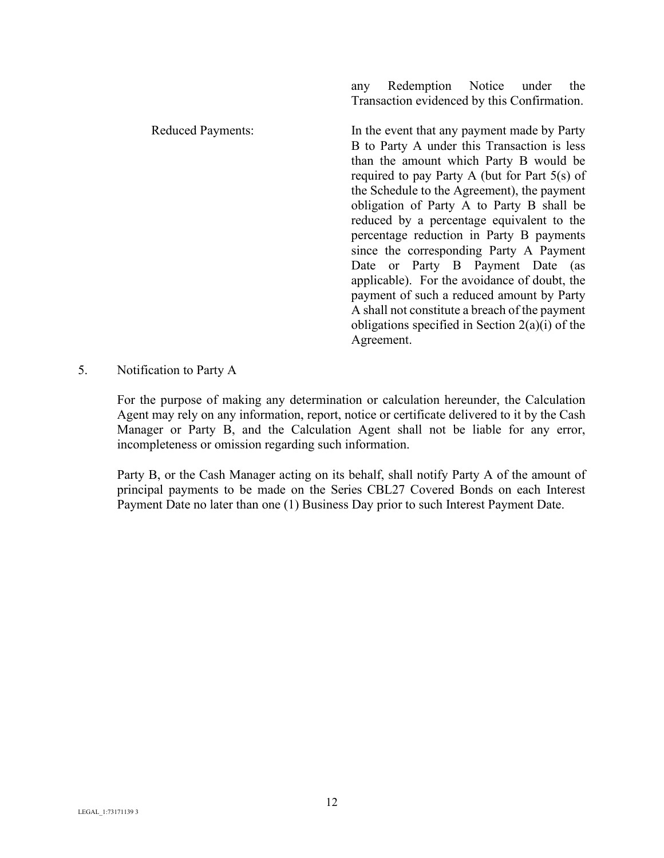Reduced Payments: In the event that any payment made by Party B to Party A under this Transaction is less than the amount which Party B would be required to pay Party A (but for Part 5(s) of the Schedule to the Agreement), the payment obligation of Party A to Party B shall be reduced by a percentage equivalent to the percentage reduction in Party B payments since the corresponding Party A Payment Date or Party B Payment Date (as applicable). For the avoidance of doubt, the payment of such a reduced amount by Party A shall not constitute a breach of the payment obligations specified in Section 2(a)(i) of the Agreement.

any Redemption Notice under the Transaction evidenced by this Confirmation.

5. Notification to Party A

For the purpose of making any determination or calculation hereunder, the Calculation Agent may rely on any information, report, notice or certificate delivered to it by the Cash Manager or Party B, and the Calculation Agent shall not be liable for any error, incompleteness or omission regarding such information.

Party B, or the Cash Manager acting on its behalf, shall notify Party A of the amount of principal payments to be made on the Series CBL27 Covered Bonds on each Interest Payment Date no later than one (1) Business Day prior to such Interest Payment Date.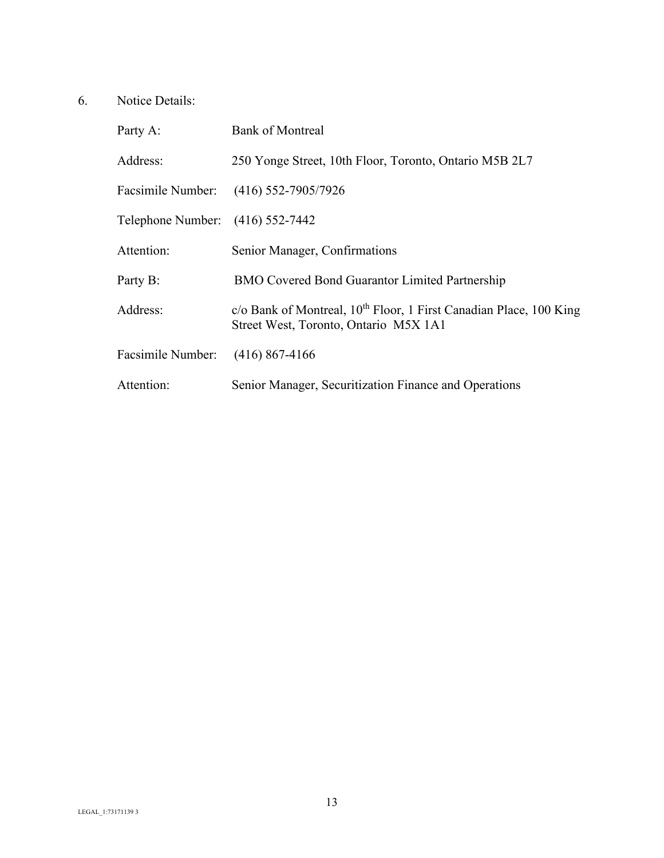# 6. Notice Details:

| Party A:                         | <b>Bank of Montreal</b>                                                                                                 |
|----------------------------------|-------------------------------------------------------------------------------------------------------------------------|
| Address:                         | 250 Yonge Street, 10th Floor, Toronto, Ontario M5B 2L7                                                                  |
|                                  | Facsimile Number: (416) 552-7905/7926                                                                                   |
| Telephone Number: (416) 552-7442 |                                                                                                                         |
| Attention:                       | Senior Manager, Confirmations                                                                                           |
| Party B:                         | <b>BMO Covered Bond Guarantor Limited Partnership</b>                                                                   |
| Address:                         | c/o Bank of Montreal, 10 <sup>th</sup> Floor, 1 First Canadian Place, 100 King<br>Street West, Toronto, Ontario M5X 1A1 |
| Facsimile Number:                | $(416)$ 867-4166                                                                                                        |
| Attention:                       | Senior Manager, Securitization Finance and Operations                                                                   |